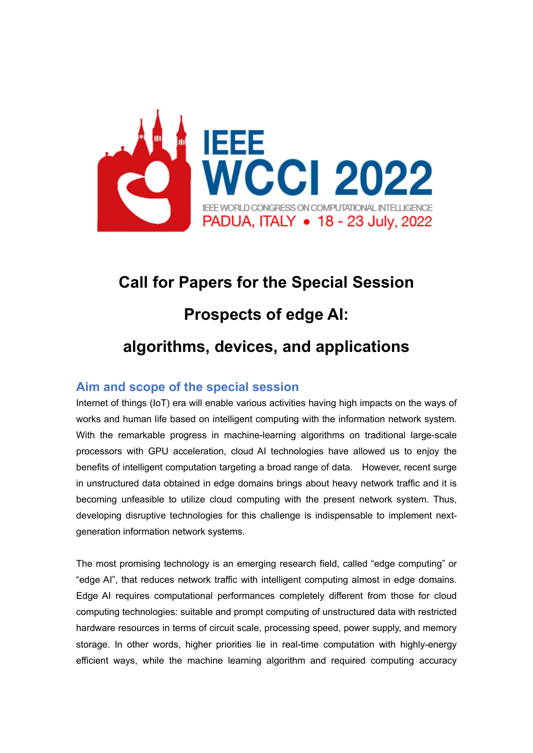

# Call for Papers for the Special Session

## Prospects of edge AI:

### algorithms, devices, and applications

#### Aim and scope of the special session

Internet of things (IoT) era will enable various activities having high impacts on the ways of works and human life based on intelligent computing with the information network system. With the remarkable progress in machine-learning algorithms on traditional large-scale processors with GPU acceleration, cloud AI technologies have allowed us to enjoy the benefits of intelligent computation targeting a broad range of data. However, recent surge in unstructured data obtained in edge domains brings about heavy network traffic and it is becoming unfeasible to utilize cloud computing with the present network system. Thus, developing disruptive technologies for this challenge is indispensable to implement nextgeneration information network systems.

The most promising technology is an emerging research field, called "edge computing" or "edge AI", that reduces network traffic with intelligent computing almost in edge domains. Edge AI requires computational performances completely different from those for cloud computing technologies: suitable and prompt computing of unstructured data with restricted hardware resources in terms of circuit scale, processing speed, power supply, and memory storage. In other words, higher priorities lie in real-time computation with highly-energy efficient ways, while the machine learning algorithm and required computing accuracy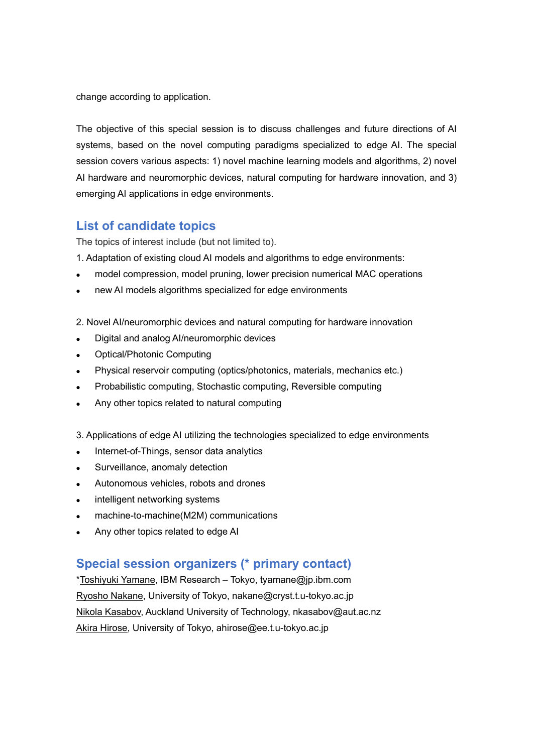change according to application.

The objective of this special session is to discuss challenges and future directions of AI systems, based on the novel computing paradigms specialized to edge AI. The special session covers various aspects: 1) novel machine learning models and algorithms, 2) novel AI hardware and neuromorphic devices, natural computing for hardware innovation, and 3) emerging AI applications in edge environments.

#### List of candidate topics

The topics of interest include (but not limited to).

- 1. Adaptation of existing cloud AI models and algorithms to edge environments:
- model compression, model pruning, lower precision numerical MAC operations
- new AI models algorithms specialized for edge environments
- 2. Novel AI/neuromorphic devices and natural computing for hardware innovation
- Digital and analog AI/neuromorphic devices
- Optical/Photonic Computing
- Physical reservoir computing (optics/photonics, materials, mechanics etc.)
- Probabilistic computing, Stochastic computing, Reversible computing
- Any other topics related to natural computing

3. Applications of edge AI utilizing the technologies specialized to edge environments

- Internet-of-Things, sensor data analytics
- Surveillance, anomaly detection
- Autonomous vehicles, robots and drones
- intelligent networking systems
- machine-to-machine(M2M) communications
- Any other topics related to edge AI

#### Special session organizers (\* primary contact)

\*Toshiyuki Yamane, IBM Research – Tokyo, tyamane@jp.ibm.com Ryosho Nakane, University of Tokyo, nakane@cryst.t.u-tokyo.ac.jp Nikola Kasabov, Auckland University of Technology, nkasabov@aut.ac.nz Akira Hirose, University of Tokyo, ahirose@ee.t.u-tokyo.ac.jp